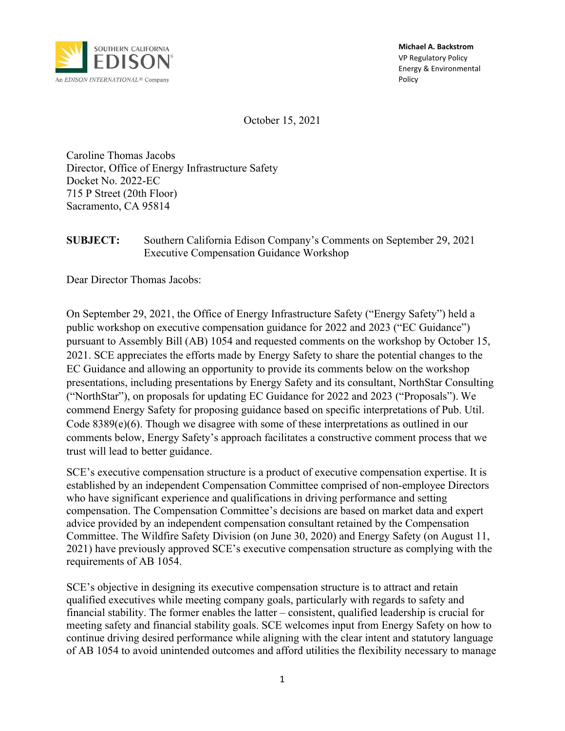

**Michael A. Backstrom** VP Regulatory Policy Energy & Environmental Policy

October 15, 2021

Caroline Thomas Jacobs Director, Office of Energy Infrastructure Safety Docket No. 2022-EC 715 P Street (20th Floor) Sacramento, CA 95814

#### **SUBJECT:** Southern California Edison Company's Comments on September 29, 2021 Executive Compensation Guidance Workshop

Dear Director Thomas Jacobs:

On September 29, 2021, the Office of Energy Infrastructure Safety ("Energy Safety") held a public workshop on executive compensation guidance for 2022 and 2023 ("EC Guidance") pursuant to Assembly Bill (AB) 1054 and requested comments on the workshop by October 15, 2021. SCE appreciates the efforts made by Energy Safety to share the potential changes to the EC Guidance and allowing an opportunity to provide its comments below on the workshop presentations, including presentations by Energy Safety and its consultant, NorthStar Consulting ("NorthStar"), on proposals for updating EC Guidance for 2022 and 2023 ("Proposals"). We commend Energy Safety for proposing guidance based on specific interpretations of Pub. Util. Code 8389(e)(6). Though we disagree with some of these interpretations as outlined in our comments below, Energy Safety's approach facilitates a constructive comment process that we trust will lead to better guidance.

SCE's executive compensation structure is a product of executive compensation expertise. It is established by an independent Compensation Committee comprised of non-employee Directors who have significant experience and qualifications in driving performance and setting compensation. The Compensation Committee's decisions are based on market data and expert advice provided by an independent compensation consultant retained by the Compensation Committee. The Wildfire Safety Division (on June 30, 2020) and Energy Safety (on August 11, 2021) have previously approved SCE's executive compensation structure as complying with the requirements of AB 1054.

SCE's objective in designing its executive compensation structure is to attract and retain qualified executives while meeting company goals, particularly with regards to safety and financial stability. The former enables the latter – consistent, qualified leadership is crucial for meeting safety and financial stability goals. SCE welcomes input from Energy Safety on how to continue driving desired performance while aligning with the clear intent and statutory language of AB 1054 to avoid unintended outcomes and afford utilities the flexibility necessary to manage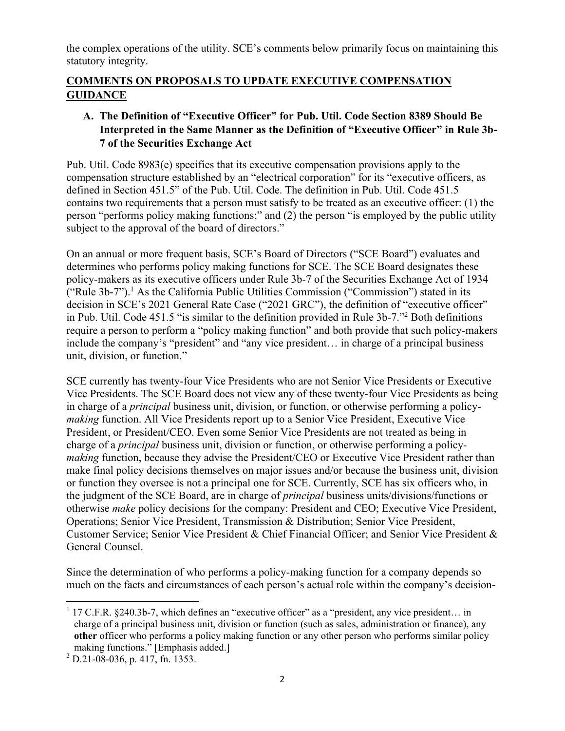the complex operations of the utility. SCE's comments below primarily focus on maintaining this statutory integrity.

# **COMMENTS ON PROPOSALS TO UPDATE EXECUTIVE COMPENSATION GUIDANCE**

# **A. The Definition of "Executive Officer" for Pub. Util. Code Section 8389 Should Be Interpreted in the Same Manner as the Definition of "Executive Officer" in Rule 3b-7 of the Securities Exchange Act**

Pub. Util. Code 8983(e) specifies that its executive compensation provisions apply to the compensation structure established by an "electrical corporation" for its "executive officers, as defined in Section 451.5" of the Pub. Util. Code. The definition in Pub. Util. Code 451.5 contains two requirements that a person must satisfy to be treated as an executive officer: (1) the person "performs policy making functions;" and (2) the person "is employed by the public utility subject to the approval of the board of directors."

On an annual or more frequent basis, SCE's Board of Directors ("SCE Board") evaluates and determines who performs policy making functions for SCE. The SCE Board designates these policy-makers as its executive officers under Rule 3b-7 of the Securities Exchange Act of 1934 ("Rule 3b-7"). <sup>1</sup> As the California Public Utilities Commission ("Commission") stated in its decision in SCE's 2021 General Rate Case ("2021 GRC"), the definition of "executive officer" in Pub. Util. Code 451.5 "is similar to the definition provided in Rule 3b-7." <sup>2</sup> Both definitions require a person to perform a "policy making function" and both provide that such policy-makers include the company's "president" and "any vice president… in charge of a principal business unit, division, or function."

SCE currently has twenty-four Vice Presidents who are not Senior Vice Presidents or Executive Vice Presidents. The SCE Board does not view any of these twenty-four Vice Presidents as being in charge of a *principal* business unit, division, or function, or otherwise performing a policy*making* function. All Vice Presidents report up to a Senior Vice President, Executive Vice President, or President/CEO. Even some Senior Vice Presidents are not treated as being in charge of a *principal* business unit, division or function, or otherwise performing a policy*making* function, because they advise the President/CEO or Executive Vice President rather than make final policy decisions themselves on major issues and/or because the business unit, division or function they oversee is not a principal one for SCE. Currently, SCE has six officers who, in the judgment of the SCE Board, are in charge of *principal* business units/divisions/functions or otherwise *make* policy decisions for the company: President and CEO; Executive Vice President, Operations; Senior Vice President, Transmission & Distribution; Senior Vice President, Customer Service; Senior Vice President & Chief Financial Officer; and Senior Vice President & General Counsel.

Since the determination of who performs a policy-making function for a company depends so much on the facts and circumstances of each person's actual role within the company's decision-

 $1$  17 C.F.R. §240.3b-7, which defines an "executive officer" as a "president, any vice president... in charge of a principal business unit, division or function (such as sales, administration or finance), any **other** officer who performs a policy making function or any other person who performs similar policy making functions." [Emphasis added.]

 $2$  D.21-08-036, p. 417, fn. 1353.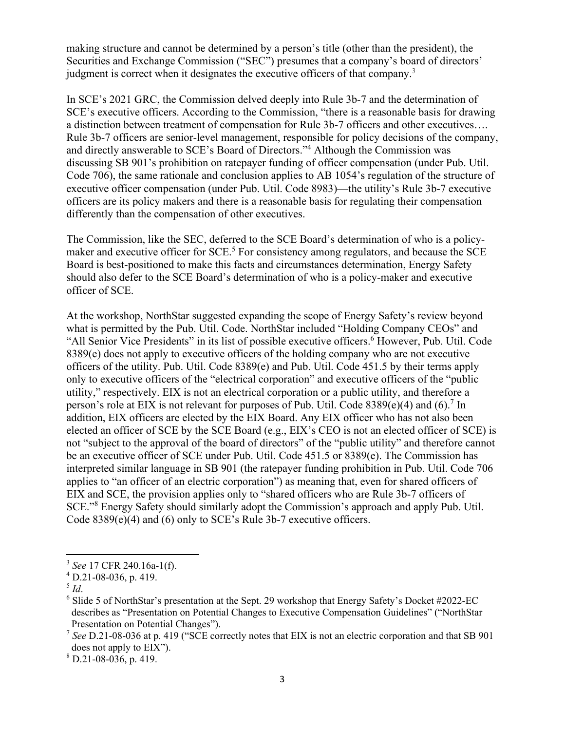making structure and cannot be determined by a person's title (other than the president), the Securities and Exchange Commission ("SEC") presumes that a company's board of directors' judgment is correct when it designates the executive officers of that company.<sup>3</sup>

In SCE's 2021 GRC, the Commission delved deeply into Rule 3b-7 and the determination of SCE's executive officers. According to the Commission, "there is a reasonable basis for drawing a distinction between treatment of compensation for Rule 3b-7 officers and other executives…. Rule 3b-7 officers are senior-level management, responsible for policy decisions of the company, and directly answerable to SCE's Board of Directors."<sup>4</sup> Although the Commission was discussing SB 901's prohibition on ratepayer funding of officer compensation (under Pub. Util. Code 706), the same rationale and conclusion applies to AB 1054's regulation of the structure of executive officer compensation (under Pub. Util. Code 8983)—the utility's Rule 3b-7 executive officers are its policy makers and there is a reasonable basis for regulating their compensation differently than the compensation of other executives.

The Commission, like the SEC, deferred to the SCE Board's determination of who is a policymaker and executive officer for  $SCE$ <sup>5</sup>. For consistency among regulators, and because the  $SCE$ Board is best-positioned to make this facts and circumstances determination, Energy Safety should also defer to the SCE Board's determination of who is a policy-maker and executive officer of SCE.

At the workshop, NorthStar suggested expanding the scope of Energy Safety's review beyond what is permitted by the Pub. Util. Code. NorthStar included "Holding Company CEOs" and "All Senior Vice Presidents" in its list of possible executive officers. <sup>6</sup> However, Pub. Util. Code 8389(e) does not apply to executive officers of the holding company who are not executive officers of the utility. Pub. Util. Code 8389(e) and Pub. Util. Code 451.5 by their terms apply only to executive officers of the "electrical corporation" and executive officers of the "public utility," respectively. EIX is not an electrical corporation or a public utility, and therefore a person's role at EIX is not relevant for purposes of Pub. Util. Code  $8389(e)(4)$  and  $(6)$ .<sup>7</sup> In addition, EIX officers are elected by the EIX Board. Any EIX officer who has not also been elected an officer of SCE by the SCE Board (e.g., EIX's CEO is not an elected officer of SCE) is not "subject to the approval of the board of directors" of the "public utility" and therefore cannot be an executive officer of SCE under Pub. Util. Code 451.5 or 8389(e). The Commission has interpreted similar language in SB 901 (the ratepayer funding prohibition in Pub. Util. Code 706 applies to "an officer of an electric corporation") as meaning that, even for shared officers of EIX and SCE, the provision applies only to "shared officers who are Rule 3b-7 officers of SCE."<sup>8</sup> Energy Safety should similarly adopt the Commission's approach and apply Pub. Util. Code 8389(e)(4) and (6) only to SCE's Rule 3b-7 executive officers.

 $8$  D.21-08-036, p. 419.

<sup>3</sup> *See* 17 CFR 240.16a-1(f).

 $^{4}$  D.21-08-036, p. 419.

<sup>5</sup> *Id*.

 $6$  Slide 5 of NorthStar's presentation at the Sept. 29 workshop that Energy Safety's Docket #2022-EC describes as "Presentation on Potential Changes to Executive Compensation Guidelines" ("NorthStar Presentation on Potential Changes").

<sup>&</sup>lt;sup>7</sup> See D.21-08-036 at p. 419 ("SCE correctly notes that EIX is not an electric corporation and that SB 901 does not apply to EIX").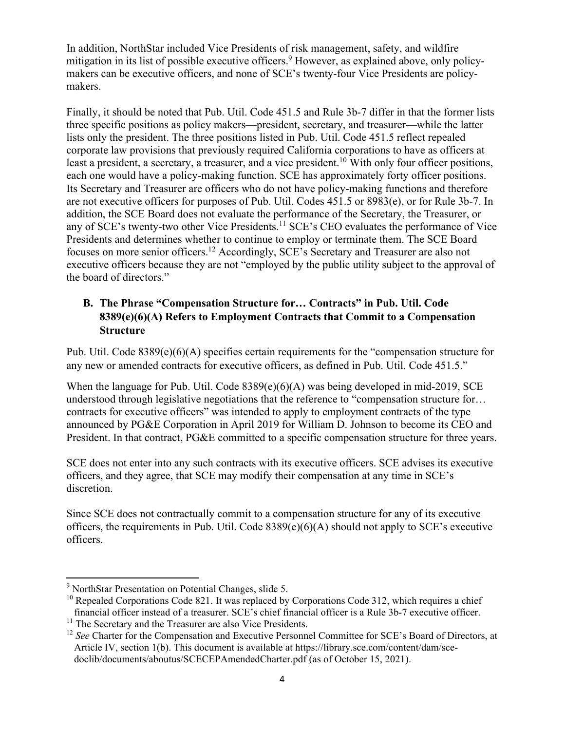In addition, NorthStar included Vice Presidents of risk management, safety, and wildfire mitigation in its list of possible executive officers.<sup>9</sup> However, as explained above, only policymakers can be executive officers, and none of SCE's twenty-four Vice Presidents are policymakers.

Finally, it should be noted that Pub. Util. Code 451.5 and Rule 3b-7 differ in that the former lists three specific positions as policy makers—president, secretary, and treasurer—while the latter lists only the president. The three positions listed in Pub. Util. Code 451.5 reflect repealed corporate law provisions that previously required California corporations to have as officers at least a president, a secretary, a treasurer, and a vice president.<sup>10</sup> With only four officer positions, each one would have a policy-making function. SCE has approximately forty officer positions. Its Secretary and Treasurer are officers who do not have policy-making functions and therefore are not executive officers for purposes of Pub. Util. Codes 451.5 or 8983(e), or for Rule 3b-7. In addition, the SCE Board does not evaluate the performance of the Secretary, the Treasurer, or any of SCE's twenty-two other Vice Presidents.<sup>11</sup> SCE's CEO evaluates the performance of Vice Presidents and determines whether to continue to employ or terminate them. The SCE Board focuses on more senior officers.<sup>12</sup> Accordingly, SCE's Secretary and Treasurer are also not executive officers because they are not "employed by the public utility subject to the approval of the board of directors."

# **B. The Phrase "Compensation Structure for… Contracts" in Pub. Util. Code 8389(e)(6)(A) Refers to Employment Contracts that Commit to a Compensation Structure**

Pub. Util. Code 8389(e)(6)(A) specifies certain requirements for the "compensation structure for any new or amended contracts for executive officers, as defined in Pub. Util. Code 451.5."

When the language for Pub. Util. Code  $8389(e)(6)(A)$  was being developed in mid-2019, SCE understood through legislative negotiations that the reference to "compensation structure for… contracts for executive officers" was intended to apply to employment contracts of the type announced by PG&E Corporation in April 2019 for William D. Johnson to become its CEO and President. In that contract, PG&E committed to a specific compensation structure for three years.

SCE does not enter into any such contracts with its executive officers. SCE advises its executive officers, and they agree, that SCE may modify their compensation at any time in SCE's discretion.

Since SCE does not contractually commit to a compensation structure for any of its executive officers, the requirements in Pub. Util. Code 8389(e)(6)(A) should not apply to SCE's executive officers.

<sup>9</sup> NorthStar Presentation on Potential Changes, slide 5.

<sup>&</sup>lt;sup>10</sup> Repealed Corporations Code 821. It was replaced by Corporations Code 312, which requires a chief financial officer instead of a treasurer. SCE's chief financial officer is a Rule 3b-7 executive officer.

<sup>&</sup>lt;sup>11</sup> The Secretary and the Treasurer are also Vice Presidents.

<sup>&</sup>lt;sup>12</sup> *See* Charter for the Compensation and Executive Personnel Committee for SCE's Board of Directors, at Article IV, section 1(b). This document is available at https://library.sce.com/content/dam/sce doclib/documents/aboutus/SCECEPAmendedCharter.pdf (as of October 15, 2021).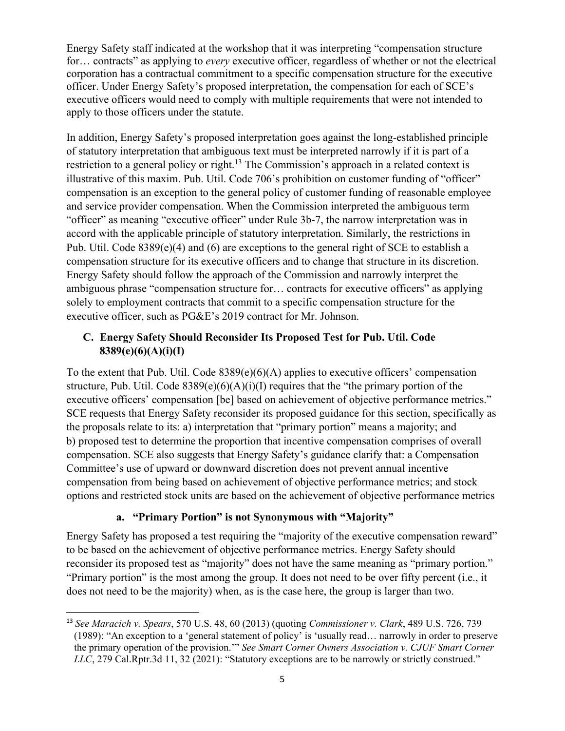Energy Safety staff indicated at the workshop that it was interpreting "compensation structure for… contracts" as applying to *every* executive officer, regardless of whether or not the electrical corporation has a contractual commitment to a specific compensation structure for the executive officer. Under Energy Safety's proposed interpretation, the compensation for each of SCE's executive officers would need to comply with multiple requirements that were not intended to apply to those officers under the statute.

In addition, Energy Safety's proposed interpretation goes against the long-established principle of statutory interpretation that ambiguous text must be interpreted narrowly if it is part of a restriction to a general policy or right.<sup>13</sup> The Commission's approach in a related context is illustrative of this maxim. Pub. Util. Code 706's prohibition on customer funding of "officer" compensation is an exception to the general policy of customer funding of reasonable employee and service provider compensation. When the Commission interpreted the ambiguous term "officer" as meaning "executive officer" under Rule 3b-7, the narrow interpretation was in accord with the applicable principle of statutory interpretation. Similarly, the restrictions in Pub. Util. Code  $8389(e)(4)$  and (6) are exceptions to the general right of SCE to establish a compensation structure for its executive officers and to change that structure in its discretion. Energy Safety should follow the approach of the Commission and narrowly interpret the ambiguous phrase "compensation structure for… contracts for executive officers" as applying solely to employment contracts that commit to a specific compensation structure for the executive officer, such as PG&E's 2019 contract for Mr. Johnson.

# **C. Energy Safety Should Reconsider Its Proposed Test for Pub. Util. Code 8389(e)(6)(A)(i)(I)**

To the extent that Pub. Util. Code 8389(e)(6)(A) applies to executive officers' compensation structure, Pub. Util. Code  $8389(e)(6)(A)(i)(I)$  requires that the "the primary portion of the executive officers' compensation [be] based on achievement of objective performance metrics." SCE requests that Energy Safety reconsider its proposed guidance for this section, specifically as the proposals relate to its: a) interpretation that "primary portion" means a majority; and b) proposed test to determine the proportion that incentive compensation comprises of overall compensation. SCE also suggests that Energy Safety's guidance clarify that: a Compensation Committee's use of upward or downward discretion does not prevent annual incentive compensation from being based on achievement of objective performance metrics; and stock options and restricted stock units are based on the achievement of objective performance metrics

#### **a. "Primary Portion" is not Synonymous with "Majority"**

Energy Safety has proposed a test requiring the "majority of the executive compensation reward" to be based on the achievement of objective performance metrics. Energy Safety should reconsider its proposed test as "majority" does not have the same meaning as "primary portion." "Primary portion" is the most among the group. It does not need to be over fifty percent (i.e., it does not need to be the majority) when, as is the case here, the group is larger than two.

<sup>13</sup> *See Maracich v. Spears*, 570 U.S. 48, 60 (2013) (quoting *Commissioner v. Clark*, 489 U.S. 726, 739 (1989): "An exception to a 'general statement of policy' is 'usually read… narrowly in order to preserve the primary operation of the provision.'" *See Smart Corner Owners Association v. CJUF Smart Corner LLC*, 279 Cal.Rptr.3d 11, 32 (2021): "Statutory exceptions are to be narrowly or strictly construed."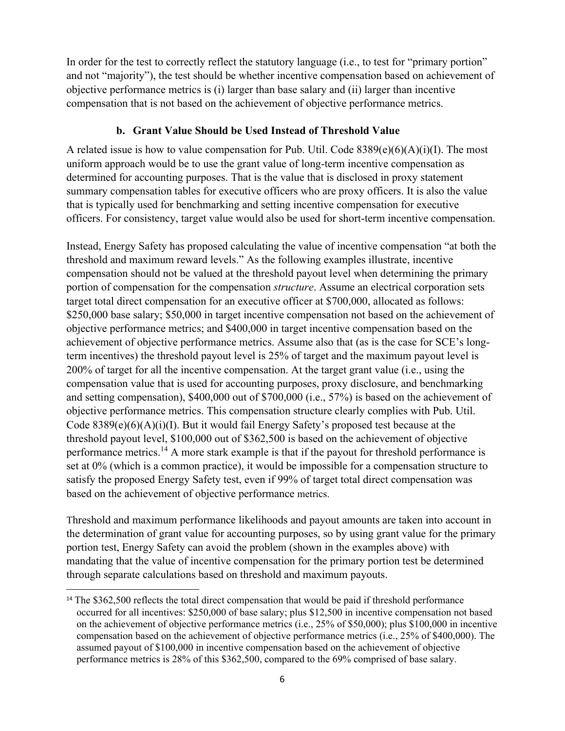In order for the test to correctly reflect the statutory language (i.e., to test for "primary portion" and not "majority"), the test should be whether incentive compensation based on achievement of objective performance metrics is (i) larger than base salary and (ii) larger than incentive compensation that is not based on the achievement of objective performance metrics.

#### **b. Grant Value Should be Used Instead of Threshold Value**

A related issue is how to value compensation for Pub. Util. Code  $8389(e)(6)(A)(i)(I)$ . The most uniform approach would be to use the grant value of long-term incentive compensation as determined for accounting purposes. That is the value that is disclosed in proxy statement summary compensation tables for executive officers who are proxy officers. It is also the value that is typically used for benchmarking and setting incentive compensation for executive officers. For consistency, target value would also be used for short-term incentive compensation.

Instead, Energy Safety has proposed calculating the value of incentive compensation "at both the threshold and maximum reward levels." As the following examples illustrate, incentive compensation should not be valued at the threshold payout level when determining the primary portion of compensation for the compensation *structure*. Assume an electrical corporation sets target total direct compensation for an executive officer at \$700,000, allocated as follows: \$250,000 base salary; \$50,000 in target incentive compensation not based on the achievement of objective performance metrics; and \$400,000 in target incentive compensation based on the achievement of objective performance metrics. Assume also that (as is the case for SCE's longterm incentives) the threshold payout level is 25% of target and the maximum payout level is 200% of target for all the incentive compensation. At the target grant value (i.e., using the compensation value that is used for accounting purposes, proxy disclosure, and benchmarking and setting compensation), \$400,000 out of \$700,000 (i.e., 57%) is based on the achievement of objective performance metrics. This compensation structure clearly complies with Pub. Util. Code 8389(e)(6)(A)(i)(I). But it would fail Energy Safety's proposed test because at the threshold payout level, \$100,000 out of \$362,500 is based on the achievement of objective performance metrics.<sup>14</sup> A more stark example is that if the payout for threshold performance is set at 0% (which is a common practice), it would be impossible for a compensation structure to satisfy the proposed Energy Safety test, even if 99% of target total direct compensation was based on the achievement of objective performance metrics.

Threshold and maximum performance likelihoods and payout amounts are taken into account in the determination of grant value for accounting purposes, so by using grant value for the primary portion test, Energy Safety can avoid the problem (shown in the examples above) with mandating that the value of incentive compensation for the primary portion test be determined through separate calculations based on threshold and maximum payouts.

<sup>&</sup>lt;sup>14</sup> The \$362,500 reflects the total direct compensation that would be paid if threshold performance occurred for all incentives: \$250,000 of base salary; plus \$12,500 in incentive compensation not based on the achievement of objective performance metrics (i.e., 25% of \$50,000); plus \$100,000 in incentive compensation based on the achievement of objective performance metrics (i.e., 25% of \$400,000). The assumed payout of \$100,000 in incentive compensation based on the achievement of objective performance metrics is 28% of this \$362,500, compared to the 69% comprised of base salary.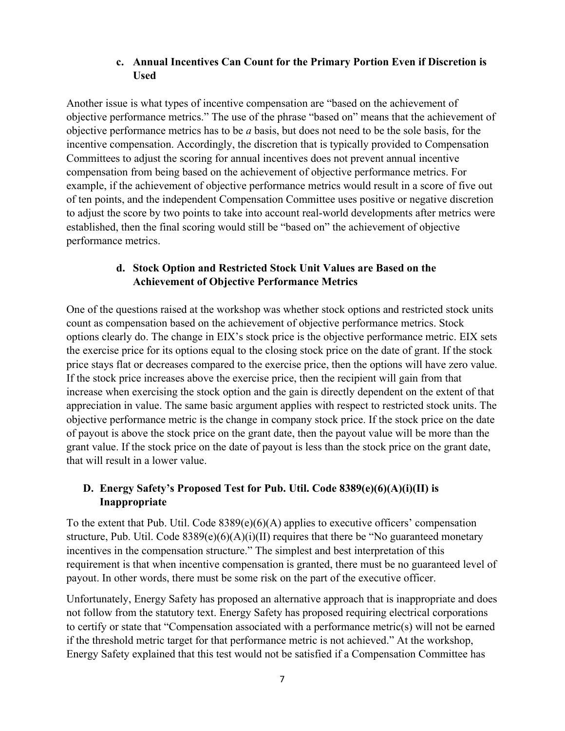### **c. Annual Incentives Can Count for the Primary Portion Even if Discretion is Used**

Another issue is what types of incentive compensation are "based on the achievement of objective performance metrics." The use of the phrase "based on" means that the achievement of objective performance metrics has to be *a* basis, but does not need to be the sole basis, for the incentive compensation. Accordingly, the discretion that is typically provided to Compensation Committees to adjust the scoring for annual incentives does not prevent annual incentive compensation from being based on the achievement of objective performance metrics. For example, if the achievement of objective performance metrics would result in a score of five out of ten points, and the independent Compensation Committee uses positive or negative discretion to adjust the score by two points to take into account real-world developments after metrics were established, then the final scoring would still be "based on" the achievement of objective performance metrics.

# **d. Stock Option and Restricted Stock Unit Values are Based on the Achievement of Objective Performance Metrics**

One of the questions raised at the workshop was whether stock options and restricted stock units count as compensation based on the achievement of objective performance metrics. Stock options clearly do. The change in EIX's stock price is the objective performance metric. EIX sets the exercise price for its options equal to the closing stock price on the date of grant. If the stock price stays flat or decreases compared to the exercise price, then the options will have zero value. If the stock price increases above the exercise price, then the recipient will gain from that increase when exercising the stock option and the gain is directly dependent on the extent of that appreciation in value. The same basic argument applies with respect to restricted stock units. The objective performance metric is the change in company stock price. If the stock price on the date of payout is above the stock price on the grant date, then the payout value will be more than the grant value. If the stock price on the date of payout is less than the stock price on the grant date, that will result in a lower value.

# **D. Energy Safety's Proposed Test for Pub. Util. Code 8389(e)(6)(A)(i)(II) is Inappropriate**

To the extent that Pub. Util. Code 8389(e)(6)(A) applies to executive officers' compensation structure, Pub. Util. Code  $8389(e)(6)(A)(i)(II)$  requires that there be "No guaranteed monetary incentives in the compensation structure." The simplest and best interpretation of this requirement is that when incentive compensation is granted, there must be no guaranteed level of payout. In other words, there must be some risk on the part of the executive officer.

Unfortunately, Energy Safety has proposed an alternative approach that is inappropriate and does not follow from the statutory text. Energy Safety has proposed requiring electrical corporations to certify or state that "Compensation associated with a performance metric(s) will not be earned if the threshold metric target for that performance metric is not achieved." At the workshop, Energy Safety explained that this test would not be satisfied if a Compensation Committee has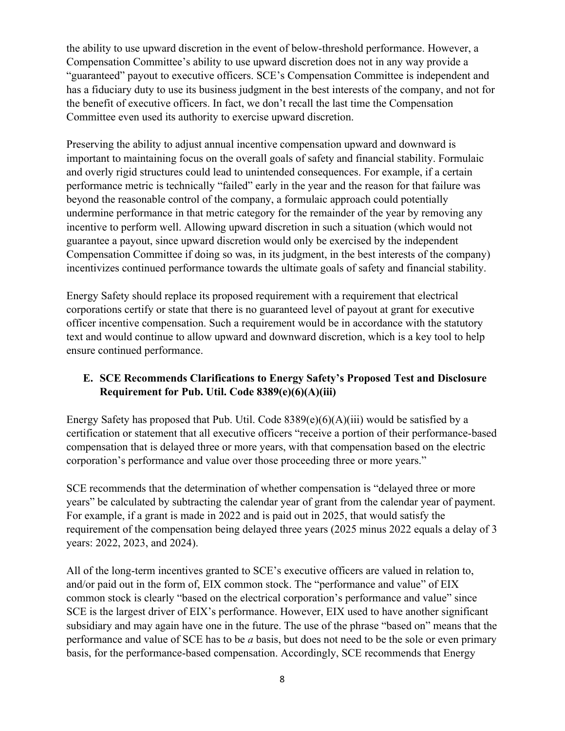the ability to use upward discretion in the event of below-threshold performance. However, a Compensation Committee's ability to use upward discretion does not in any way provide a "guaranteed" payout to executive officers. SCE's Compensation Committee is independent and has a fiduciary duty to use its business judgment in the best interests of the company, and not for the benefit of executive officers. In fact, we don't recall the last time the Compensation Committee even used its authority to exercise upward discretion.

Preserving the ability to adjust annual incentive compensation upward and downward is important to maintaining focus on the overall goals of safety and financial stability. Formulaic and overly rigid structures could lead to unintended consequences. For example, if a certain performance metric is technically "failed" early in the year and the reason for that failure was beyond the reasonable control of the company, a formulaic approach could potentially undermine performance in that metric category for the remainder of the year by removing any incentive to perform well. Allowing upward discretion in such a situation (which would not guarantee a payout, since upward discretion would only be exercised by the independent Compensation Committee if doing so was, in its judgment, in the best interests of the company) incentivizes continued performance towards the ultimate goals of safety and financial stability.

Energy Safety should replace its proposed requirement with a requirement that electrical corporations certify or state that there is no guaranteed level of payout at grant for executive officer incentive compensation. Such a requirement would be in accordance with the statutory text and would continue to allow upward and downward discretion, which is a key tool to help ensure continued performance.

## **E. SCE Recommends Clarifications to Energy Safety's Proposed Test and Disclosure Requirement for Pub. Util. Code 8389(e)(6)(A)(iii)**

Energy Safety has proposed that Pub. Util. Code 8389(e)(6)(A)(iii) would be satisfied by a certification or statement that all executive officers "receive a portion of their performance-based compensation that is delayed three or more years, with that compensation based on the electric corporation's performance and value over those proceeding three or more years."

SCE recommends that the determination of whether compensation is "delayed three or more years" be calculated by subtracting the calendar year of grant from the calendar year of payment. For example, if a grant is made in 2022 and is paid out in 2025, that would satisfy the requirement of the compensation being delayed three years (2025 minus 2022 equals a delay of 3 years: 2022, 2023, and 2024).

All of the long-term incentives granted to SCE's executive officers are valued in relation to, and/or paid out in the form of, EIX common stock. The "performance and value" of EIX common stock is clearly "based on the electrical corporation's performance and value" since SCE is the largest driver of EIX's performance. However, EIX used to have another significant subsidiary and may again have one in the future. The use of the phrase "based on" means that the performance and value of SCE has to be *a* basis, but does not need to be the sole or even primary basis, for the performance-based compensation. Accordingly, SCE recommends that Energy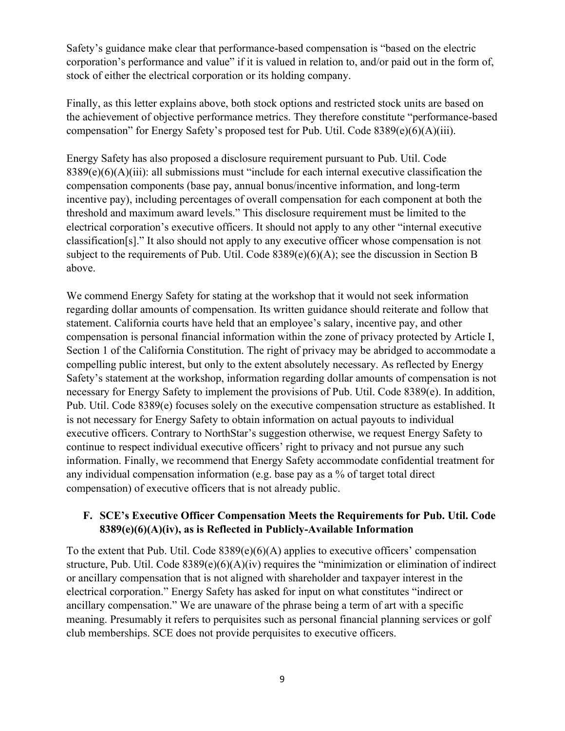Safety's guidance make clear that performance-based compensation is "based on the electric corporation's performance and value" if it is valued in relation to, and/or paid out in the form of, stock of either the electrical corporation or its holding company.

Finally, as this letter explains above, both stock options and restricted stock units are based on the achievement of objective performance metrics. They therefore constitute "performance-based compensation" for Energy Safety's proposed test for Pub. Util. Code 8389(e)(6)(A)(iii).

Energy Safety has also proposed a disclosure requirement pursuant to Pub. Util. Code 8389(e)(6)(A)(iii): all submissions must "include for each internal executive classification the compensation components (base pay, annual bonus/incentive information, and long-term incentive pay), including percentages of overall compensation for each component at both the threshold and maximum award levels." This disclosure requirement must be limited to the electrical corporation's executive officers. It should not apply to any other "internal executive classification[s]." It also should not apply to any executive officer whose compensation is not subject to the requirements of Pub. Util. Code 8389(e)(6)(A); see the discussion in Section B above.

We commend Energy Safety for stating at the workshop that it would not seek information regarding dollar amounts of compensation. Its written guidance should reiterate and follow that statement. California courts have held that an employee's salary, incentive pay, and other compensation is personal financial information within the zone of privacy protected by Article I, Section 1 of the California Constitution. The right of privacy may be abridged to accommodate a compelling public interest, but only to the extent absolutely necessary. As reflected by Energy Safety's statement at the workshop, information regarding dollar amounts of compensation is not necessary for Energy Safety to implement the provisions of Pub. Util. Code 8389(e). In addition, Pub. Util. Code 8389(e) focuses solely on the executive compensation structure as established. It is not necessary for Energy Safety to obtain information on actual payouts to individual executive officers. Contrary to NorthStar's suggestion otherwise, we request Energy Safety to continue to respect individual executive officers' right to privacy and not pursue any such information. Finally, we recommend that Energy Safety accommodate confidential treatment for any individual compensation information (e.g. base pay as a % of target total direct compensation) of executive officers that is not already public.

## **F. SCE's Executive Officer Compensation Meets the Requirements for Pub. Util. Code 8389(e)(6)(A)(iv), as is Reflected in Publicly-Available Information**

To the extent that Pub. Util. Code  $8389(e)(6)(A)$  applies to executive officers' compensation structure, Pub. Util. Code 8389(e)(6)(A)(iv) requires the "minimization or elimination of indirect or ancillary compensation that is not aligned with shareholder and taxpayer interest in the electrical corporation." Energy Safety has asked for input on what constitutes "indirect or ancillary compensation." We are unaware of the phrase being a term of art with a specific meaning. Presumably it refers to perquisites such as personal financial planning services or golf club memberships. SCE does not provide perquisites to executive officers.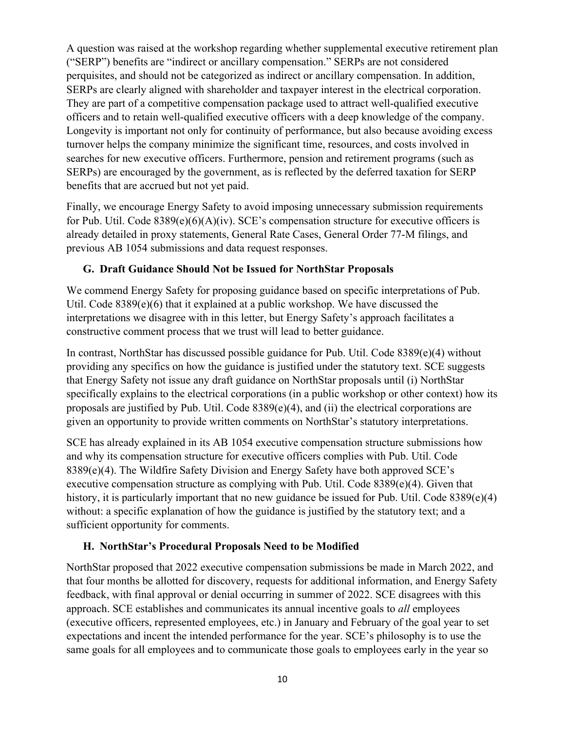A question was raised at the workshop regarding whether supplemental executive retirement plan ("SERP") benefits are "indirect or ancillary compensation." SERPs are not considered perquisites, and should not be categorized as indirect or ancillary compensation. In addition, SERPs are clearly aligned with shareholder and taxpayer interest in the electrical corporation. They are part of a competitive compensation package used to attract well-qualified executive officers and to retain well-qualified executive officers with a deep knowledge of the company. Longevity is important not only for continuity of performance, but also because avoiding excess turnover helps the company minimize the significant time, resources, and costs involved in searches for new executive officers. Furthermore, pension and retirement programs (such as SERPs) are encouraged by the government, as is reflected by the deferred taxation for SERP benefits that are accrued but not yet paid.

Finally, we encourage Energy Safety to avoid imposing unnecessary submission requirements for Pub. Util. Code 8389(e)(6)(A)(iv). SCE's compensation structure for executive officers is already detailed in proxy statements, General Rate Cases, General Order 77-M filings, and previous AB 1054 submissions and data request responses.

#### **G. Draft Guidance Should Not be Issued for NorthStar Proposals**

We commend Energy Safety for proposing guidance based on specific interpretations of Pub. Util. Code 8389(e)(6) that it explained at a public workshop. We have discussed the interpretations we disagree with in this letter, but Energy Safety's approach facilitates a constructive comment process that we trust will lead to better guidance.

In contrast, NorthStar has discussed possible guidance for Pub. Util. Code 8389(e)(4) without providing any specifics on how the guidance is justified under the statutory text. SCE suggests that Energy Safety not issue any draft guidance on NorthStar proposals until (i) NorthStar specifically explains to the electrical corporations (in a public workshop or other context) how its proposals are justified by Pub. Util. Code 8389(e)(4), and (ii) the electrical corporations are given an opportunity to provide written comments on NorthStar's statutory interpretations.

SCE has already explained in its AB 1054 executive compensation structure submissions how and why its compensation structure for executive officers complies with Pub. Util. Code 8389(e)(4). The Wildfire Safety Division and Energy Safety have both approved SCE's executive compensation structure as complying with Pub. Util. Code 8389(e)(4). Given that history, it is particularly important that no new guidance be issued for Pub. Util. Code 8389(e)(4) without: a specific explanation of how the guidance is justified by the statutory text; and a sufficient opportunity for comments.

#### **H. NorthStar's Procedural Proposals Need to be Modified**

NorthStar proposed that 2022 executive compensation submissions be made in March 2022, and that four months be allotted for discovery, requests for additional information, and Energy Safety feedback, with final approval or denial occurring in summer of 2022. SCE disagrees with this approach. SCE establishes and communicates its annual incentive goals to *all* employees (executive officers, represented employees, etc.) in January and February of the goal year to set expectations and incent the intended performance for the year. SCE's philosophy is to use the same goals for all employees and to communicate those goals to employees early in the year so